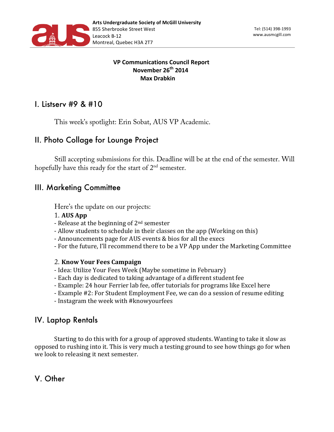

#### **VP Communications Council Report November 26th 2014 Max Drabkin**

## I. Listserv #9 & #10

This week's spotlight: Erin Sobat, AUS VP Academic.

# II. Photo Collage for Lounge Project

Still accepting submissions for this. Deadline will be at the end of the semester. Will hopefully have this ready for the start of 2<sup>nd</sup> semester.

### III. Marketing Committee

Here's the update on our projects:

- 1. **AUS App**
- Release at the beginning of  $2<sup>nd</sup>$  semester
- Allow students to schedule in their classes on the app (Working on this)
- Announcements page for AUS events & bios for all the execs
- For the future, I'll recommend there to be a VP App under the Marketing Committee

#### 2. **Know Your Fees Campaign**

- Idea: Utilize Your Fees Week (Maybe sometime in February)
- Each day is dedicated to taking advantage of a different student fee
- Example: 24 hour Ferrier lab fee, offer tutorials for programs like Excel here
- Example #2: For Student Employment Fee, we can do a session of resume editing
- Instagram the week with #knowyourfees

### IV. Laptop Rentals

Starting to do this with for a group of approved students. Wanting to take it slow as opposed to rushing into it. This is very much a testing ground to see how things go for when we look to releasing it next semester.

V. Other